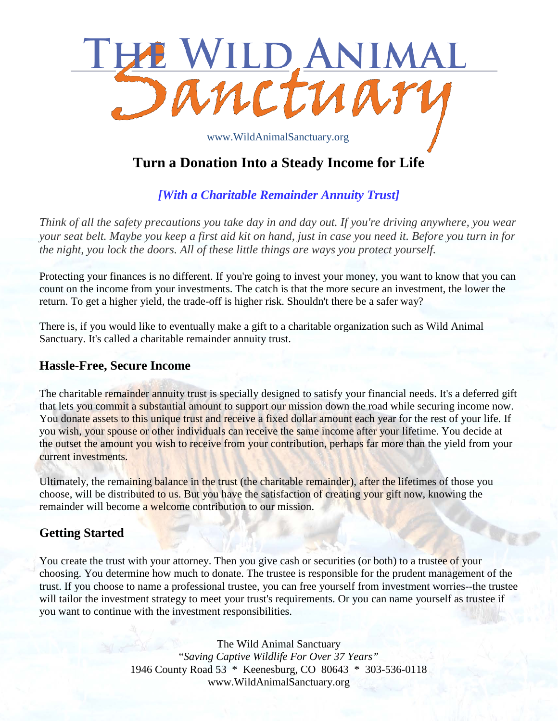

# **Turn a Donation Into a Steady Income for Life**

## *[With a Charitable Remainder Annuity Trust]*

*Think of all the safety precautions you take day in and day out. If you're driving anywhere, you wear your seat belt. Maybe you keep a first aid kit on hand, just in case you need it. Before you turn in for the night, you lock the doors. All of these little things are ways you protect yourself.*

Protecting your finances is no different. If you're going to invest your money, you want to know that you can count on the income from your investments. The catch is that the more secure an investment, the lower the return. To get a higher yield, the trade-off is higher risk. Shouldn't there be a safer way?

There is, if you would like to eventually make a gift to a charitable organization such as Wild Animal Sanctuary. It's called a charitable remainder annuity trust.

#### **Hassle-Free, Secure Income**

The charitable remainder annuity trust is specially designed to satisfy your financial needs. It's a deferred gift that lets you commit a substantial amount to support our mission down the road while securing income now. You donate assets to this unique trust and receive a fixed dollar amount each year for the rest of your life. If you wish, your spouse or other individuals can receive the same income after your lifetime. You decide at the outset the amount you wish to receive from your contribution, perhaps far more than the yield from your current investments.

Ultimately, the remaining balance in the trust (the charitable remainder), after the lifetimes of those you choose, will be distributed to us. But you have the satisfaction of creating your gift now, knowing the remainder will become a welcome contribution to our mission.

## **Getting Started**

You create the trust with your attorney. Then you give cash or securities (or both) to a trustee of your choosing. You determine how much to donate. The trustee is responsible for the prudent management of the trust. If you choose to name a professional trustee, you can free yourself from investment worries--the trustee will tailor the investment strategy to meet your trust's requirements. Or you can name yourself as trustee if you want to continue with the investment responsibilities.

> The Wild Animal Sanctuary "*Saving Captive Wildlife For Over 37 Years"* 1946 County Road 53 \* Keenesburg, CO 80643 \* 303-536-0118 www.WildAnimalSanctuary.org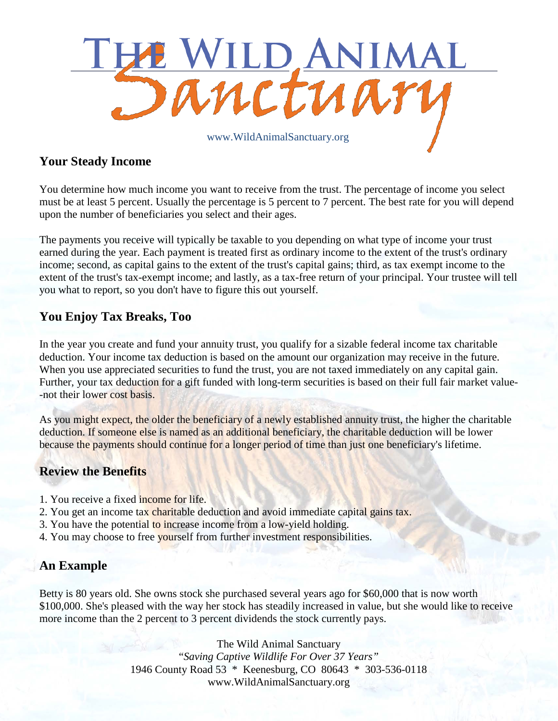

## **Your Steady Income**

You determine how much income you want to receive from the trust. The percentage of income you select must be at least 5 percent. Usually the percentage is 5 percent to 7 percent. The best rate for you will depend upon the number of beneficiaries you select and their ages.

The payments you receive will typically be taxable to you depending on what type of income your trust earned during the year. Each payment is treated first as ordinary income to the extent of the trust's ordinary income; second, as capital gains to the extent of the trust's capital gains; third, as tax exempt income to the extent of the trust's tax-exempt income; and lastly, as a tax-free return of your principal. Your trustee will tell you what to report, so you don't have to figure this out yourself.

## **You Enjoy Tax Breaks, Too**

In the year you create and fund your annuity trust, you qualify for a sizable federal income tax charitable deduction. Your income tax deduction is based on the amount our organization may receive in the future. When you use appreciated securities to fund the trust, you are not taxed immediately on any capital gain. Further, your tax deduction for a gift funded with long-term securities is based on their full fair market value- -not their lower cost basis.

As you might expect, the older the beneficiary of a newly established annuity trust, the higher the charitable deduction. If someone else is named as an additional beneficiary, the charitable deduction will be lower because the payments should continue for a longer period of time than just one beneficiary's lifetime.

## **Review the Benefits**

- 1. You receive a fixed income for life.
- 2. You get an income tax charitable deduction and avoid immediate capital gains tax.
- 3. You have the potential to increase income from a low-yield holding.
- 4. You may choose to free yourself from further investment responsibilities.

## **An Example**

Betty is 80 years old. She owns stock she purchased several years ago for \$60,000 that is now worth \$100,000. She's pleased with the way her stock has steadily increased in value, but she would like to receive more income than the 2 percent to 3 percent dividends the stock currently pays.

> The Wild Animal Sanctuary "*Saving Captive Wildlife For Over 37 Years"* 1946 County Road 53 \* Keenesburg, CO 80643 \* 303-536-0118 www.WildAnimalSanctuary.org